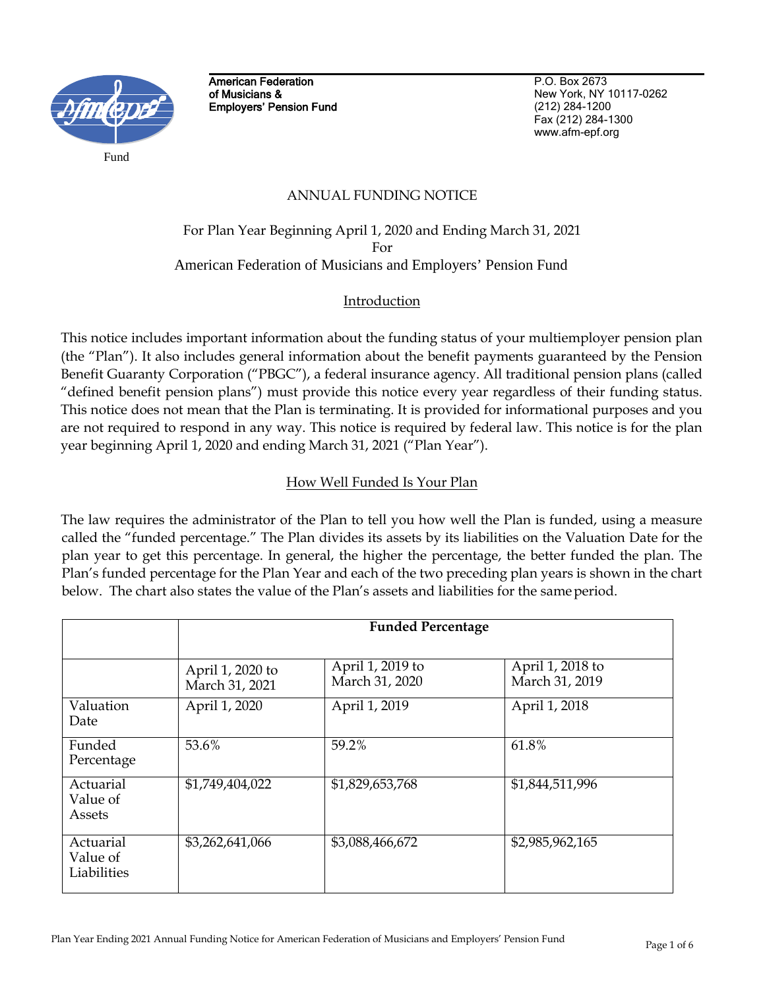

American Federation of Musicians & Employers' Pension Fund

P.O. Box 2673 New York, NY 10117-0262 (212) 284-1200 Fax (212) 284-1300 [www.afm-epf.org](http://www.afm-epf.org/)

# ANNUAL FUNDING NOTICE

For Plan Year Beginning April 1, 2020 and Ending March 31, 2021 For American Federation of Musicians and Employers' Pension Fund

## Introduction

This notice includes important information about the funding status of your multiemployer pension plan (the "Plan"). It also includes general information about the benefit payments guaranteed by the Pension Benefit Guaranty Corporation ("PBGC"), a federal insurance agency. All traditional pension plans (called "defined benefit pension plans") must provide this notice every year regardless of their funding status. This notice does not mean that the Plan is terminating. It is provided for informational purposes and you are not required to respond in any way. This notice is required by federal law. This notice is for the plan year beginning April 1, 2020 and ending March 31, 2021 ("Plan Year").

# How Well Funded Is Your Plan

The law requires the administrator of the Plan to tell you how well the Plan is funded, using a measure called the "funded percentage." The Plan divides its assets by its liabilities on the Valuation Date for the plan year to get this percentage. In general, the higher the percentage, the better funded the plan. The Plan's funded percentage for the Plan Year and each of the two preceding plan years is shown in the chart below. The chart also states the value of the Plan's assets and liabilities for the sameperiod.

|                                      | <b>Funded Percentage</b>           |                                    |                                    |  |
|--------------------------------------|------------------------------------|------------------------------------|------------------------------------|--|
|                                      | April 1, 2020 to<br>March 31, 2021 | April 1, 2019 to<br>March 31, 2020 | April 1, 2018 to<br>March 31, 2019 |  |
| Valuation<br>Date                    | April 1, 2020                      | April 1, 2019                      | April 1, 2018                      |  |
| Funded<br>Percentage                 | 53.6%                              | 59.2%                              | 61.8%                              |  |
| Actuarial<br>Value of<br>Assets      | \$1,749,404,022                    | \$1,829,653,768                    | \$1,844,511,996                    |  |
| Actuarial<br>Value of<br>Liabilities | \$3,262,641,066                    | \$3,088,466,672                    | \$2,985,962,165                    |  |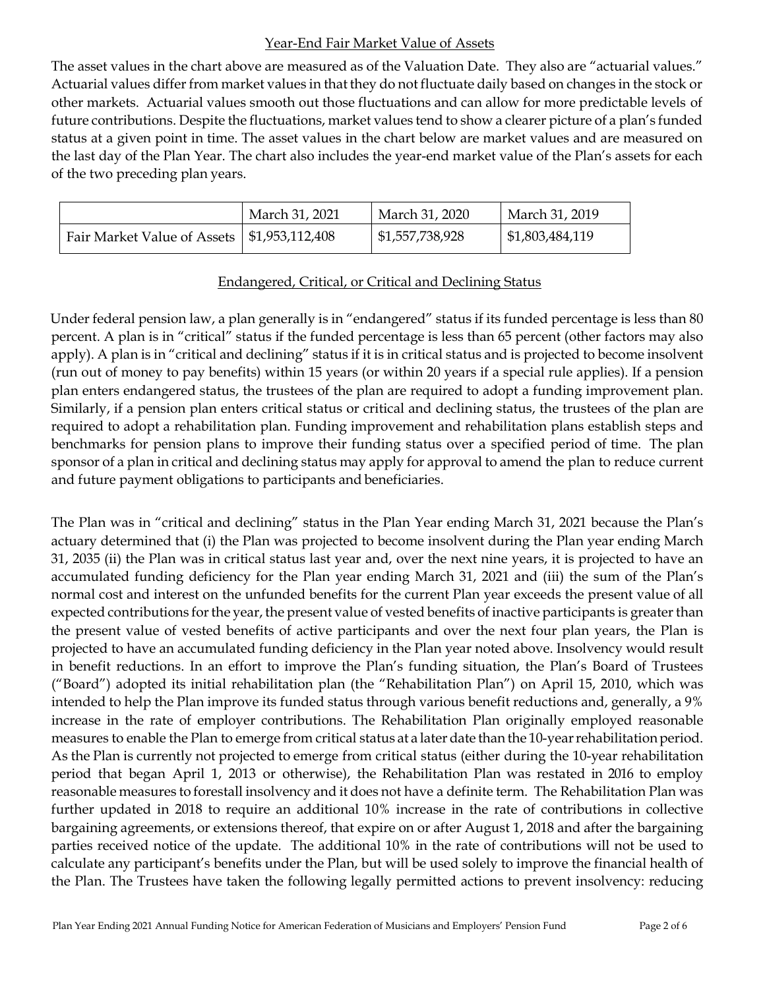## Year-End Fair Market Value of Assets

The asset values in the chart above are measured as of the Valuation Date. They also are "actuarial values." Actuarial values differ from market values in that they do not fluctuate daily based on changes in the stock or other markets. Actuarial values smooth out those fluctuations and can allow for more predictable levels of future contributions. Despite the fluctuations, market values tend to show a clearer picture of a plan's funded status at a given point in time. The asset values in the chart below are market values and are measured on the last day of the Plan Year. The chart also includes the year-end market value of the Plan's assets for each of the two preceding plan years.

|                                               | March 31, 2021 | March 31, 2020  | March 31, 2019  |
|-----------------------------------------------|----------------|-----------------|-----------------|
| Fair Market Value of Assets   \$1,953,112,408 |                | \$1,557,738,928 | \$1,803,484,119 |

#### Endangered, Critical, or Critical and Declining Status

Under federal pension law, a plan generally is in "endangered" status if its funded percentage is less than 80 percent. A plan is in "critical" status if the funded percentage is less than 65 percent (other factors may also apply). A plan is in "critical and declining" status if it is in critical status and is projected to become insolvent (run out of money to pay benefits) within 15 years (or within 20 years if a special rule applies). If a pension plan enters endangered status, the trustees of the plan are required to adopt a funding improvement plan. Similarly, if a pension plan enters critical status or critical and declining status, the trustees of the plan are required to adopt a rehabilitation plan. Funding improvement and rehabilitation plans establish steps and benchmarks for pension plans to improve their funding status over a specified period of time. The plan sponsor of a plan in critical and declining status may apply for approval to amend the plan to reduce current and future payment obligations to participants and beneficiaries.

The Plan was in "critical and declining" status in the Plan Year ending March 31, 2021 because the Plan's actuary determined that (i) the Plan was projected to become insolvent during the Plan year ending March 31, 2035 (ii) the Plan was in critical status last year and, over the next nine years, it is projected to have an accumulated funding deficiency for the Plan year ending March 31, 2021 and (iii) the sum of the Plan's normal cost and interest on the unfunded benefits for the current Plan year exceeds the present value of all expected contributions forthe year, the present value of vested benefits of inactive participants is greaterthan the present value of vested benefits of active participants and over the next four plan years, the Plan is projected to have an accumulated funding deficiency in the Plan year noted above. Insolvency would result in benefit reductions. In an effort to improve the Plan's funding situation, the Plan's Board of Trustees ("Board") adopted its initial rehabilitation plan (the "Rehabilitation Plan") on April 15, 2010, which was intended to help the Plan improve its funded status through various benefit reductions and, generally, a 9% increase in the rate of employer contributions. The Rehabilitation Plan originally employed reasonable measures to enable the Plan to emerge from critical status at a later date than the 10-year rehabilitation period. As the Plan is currently not projected to emerge from critical status (either during the 10-year rehabilitation period that began April 1, 2013 or otherwise), the Rehabilitation Plan was restated in 2016 to employ reasonable measures to forestall insolvency and it does not have a definite term. The Rehabilitation Plan was further updated in 2018 to require an additional 10% increase in the rate of contributions in collective bargaining agreements, or extensions thereof, that expire on or after August 1, 2018 and after the bargaining parties received notice of the update. The additional 10% in the rate of contributions will not be used to calculate any participant's benefits under the Plan, but will be used solely to improve the financial health of the Plan. The Trustees have taken the following legally permitted actions to prevent insolvency: reducing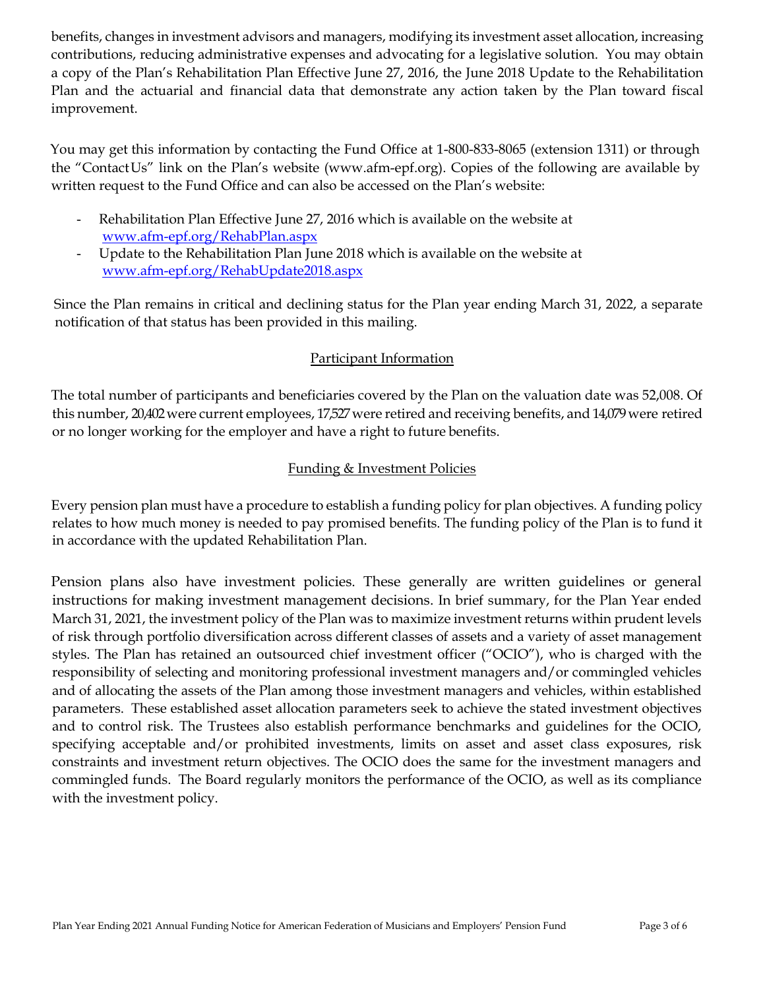benefits, changes in investment advisors and managers, modifying its investment asset allocation, increasing contributions, reducing administrative expenses and advocating for a legislative solution. You may obtain a copy of the Plan's Rehabilitation Plan Effective June 27, 2016, the June 2018 Update to the Rehabilitation Plan and the actuarial and financial data that demonstrate any action taken by the Plan toward fiscal improvement.

You may get this information by contacting the Fund Office at 1-800-833-8065 (extension 1311) or through the "ContactUs" link on the Plan's website (www.afm-epf.org). Copies of the following are available by written request to the Fund Office and can also be accessed on the Plan's website:

- Rehabilitation Plan Effective June 27, 2016 which is available on the website at [www.afm-epf.org/RehabPlan.aspx](http://www.afm-epf.org/RehabPlan.aspx)
- Update to the Rehabilitation Plan June 2018 which is available on the website at [www.afm-epf.org/RehabUpdate2018.aspx](http://www.afm-epf.org/RehabUpdate2018.aspx)

Since the Plan remains in critical and declining status for the Plan year ending March 31, 2022, a separate notification of that status has been provided in this mailing.

# Participant Information

The total number of participants and beneficiaries covered by the Plan on the valuation date was 52,008. Of this number, 20,402 were current employees, 17,527 were retired and receiving benefits, and 14,079 were retired or no longer working for the employer and have a right to future benefits.

# Funding & Investment Policies

Every pension plan must have a procedure to establish a funding policy for plan objectives. A funding policy relates to how much money is needed to pay promised benefits. The funding policy of the Plan is to fund it in accordance with the updated Rehabilitation Plan.

Pension plans also have investment policies. These generally are written guidelines or general instructions for making investment management decisions. In brief summary, for the Plan Year ended March 31, 2021, the investment policy of the Plan was to maximize investment returns within prudent levels of risk through portfolio diversification across different classes of assets and a variety of asset management styles. The Plan has retained an outsourced chief investment officer ("OCIO"), who is charged with the responsibility of selecting and monitoring professional investment managers and/or commingled vehicles and of allocating the assets of the Plan among those investment managers and vehicles, within established parameters. These established asset allocation parameters seek to achieve the stated investment objectives and to control risk. The Trustees also establish performance benchmarks and guidelines for the OCIO, specifying acceptable and/or prohibited investments, limits on asset and asset class exposures, risk constraints and investment return objectives. The OCIO does the same for the investment managers and commingled funds. The Board regularly monitors the performance of the OCIO, as well as its compliance with the investment policy.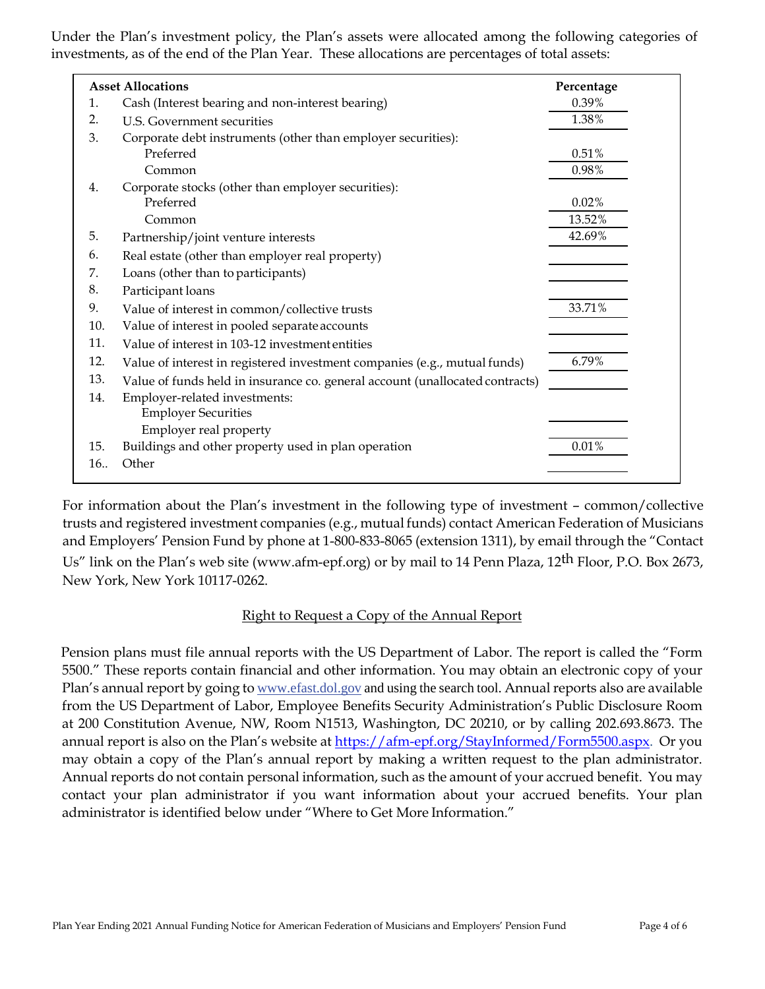Under the Plan's investment policy, the Plan's assets were allocated among the following categories of investments, as of the end of the Plan Year. These allocations are percentages of total assets:

| <b>Asset Allocations</b> |                                                                              | Percentage |
|--------------------------|------------------------------------------------------------------------------|------------|
| 1.                       | Cash (Interest bearing and non-interest bearing)                             | 0.39%      |
| 2.                       | U.S. Government securities                                                   | 1.38%      |
| 3.                       | Corporate debt instruments (other than employer securities):                 |            |
|                          | Preferred                                                                    | 0.51%      |
|                          | Common                                                                       | 0.98%      |
| 4.                       | Corporate stocks (other than employer securities):                           |            |
|                          | Preferred                                                                    | 0.02%      |
|                          | Common                                                                       | 13.52%     |
| 5.                       | Partnership/joint venture interests                                          | 42.69%     |
| 6.                       | Real estate (other than employer real property)                              |            |
| 7.                       | Loans (other than to participants)                                           |            |
| 8.                       | Participant loans                                                            |            |
| 9.                       | Value of interest in common/collective trusts                                | 33.71%     |
| 10.                      | Value of interest in pooled separate accounts                                |            |
| 11.                      | Value of interest in 103-12 investment entities                              |            |
| 12.                      | Value of interest in registered investment companies (e.g., mutual funds)    | 6.79%      |
| 13.                      | Value of funds held in insurance co. general account (unallocated contracts) |            |
| 14.                      | Employer-related investments:                                                |            |
|                          | <b>Employer Securities</b>                                                   |            |
|                          | Employer real property                                                       |            |
| 15.                      | Buildings and other property used in plan operation                          | 0.01%      |
| 16.                      | Other                                                                        |            |
|                          |                                                                              |            |

For information about the Plan's investment in the following type of investment – common/collective trusts and registered investment companies (e.g., mutualfunds) contact American Federation of Musicians and Employers' Pension Fund by phone at 1-800-833-8065 (extension 1311), by email through the "Contact Us" link on the Plan's web site (www.afm-epf.org) or by mail to 14 Penn Plaza, 12th Floor, P.O. Box 2673, New York, New York 10117-0262.

## Right to Request a Copy of the Annual Report

Pension plans must file annual reports with the US Department of Labor. The report is called the "Form 5500." These reports contain financial and other information. You may obtain an electronic copy of your Plan's annual report by going to [www.efast.dol.gov](http://www.efast.dol.gov/) and using the search tool. Annual reports also are available from the US Department of Labor, Employee Benefits Security Administration's Public Disclosure Room at 200 Constitution Avenue, NW, Room N1513, Washington, DC 20210, or by calling 202.693.8673. The annual report is also on the Plan's website at [https://afm-epf.org/StayInformed/Form5500.aspx.](https://afm-epf.org/StayInformed/Form5500.aspx) Or you may obtain a copy of the Plan's annual report by making a written request to the plan administrator. Annual reports do not contain personal information, such as the amount of your accrued benefit. You may contact your plan administrator if you want information about your accrued benefits. Your plan administrator is identified below under "Where to Get More Information."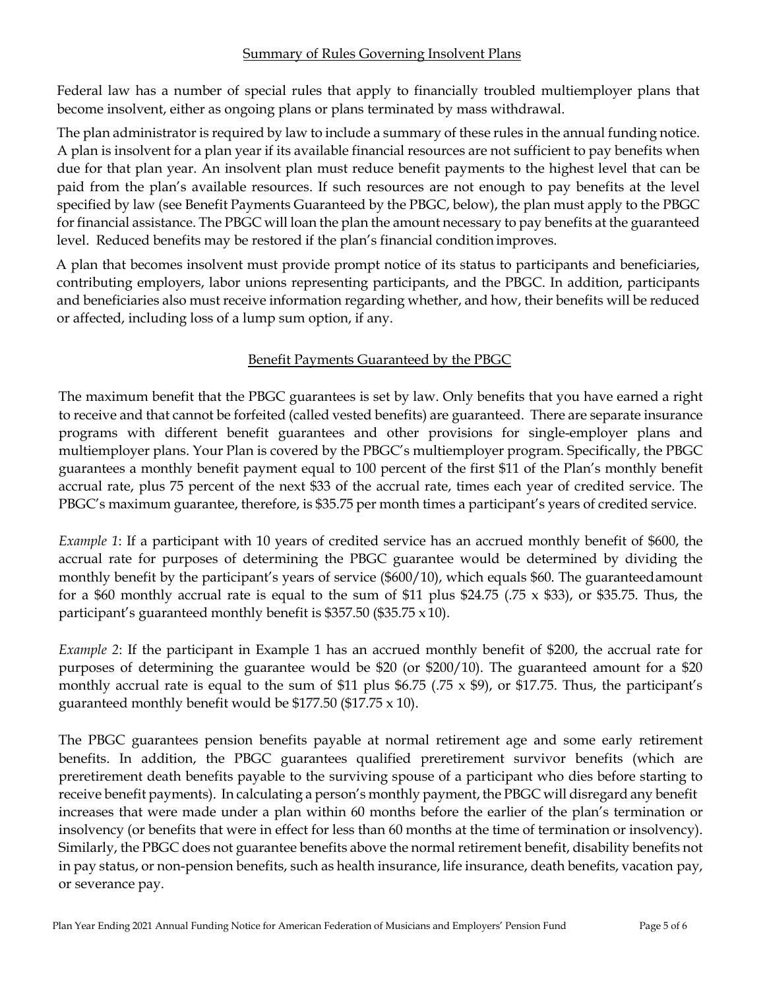#### Summary of Rules Governing Insolvent Plans

Federal law has a number of special rules that apply to financially troubled multiemployer plans that become insolvent, either as ongoing plans or plans terminated by mass withdrawal.

The plan administrator is required by law to include a summary of these rules in the annual funding notice. A plan is insolvent for a plan year if its available financial resources are not sufficient to pay benefits when due for that plan year. An insolvent plan must reduce benefit payments to the highest level that can be paid from the plan's available resources. If such resources are not enough to pay benefits at the level specified by law (see Benefit Payments Guaranteed by the PBGC, below), the plan must apply to the PBGC for financial assistance. The PBGC will loan the plan the amount necessary to pay benefits at the guaranteed level. Reduced benefits may be restored if the plan's financial condition improves.

A plan that becomes insolvent must provide prompt notice of its status to participants and beneficiaries, contributing employers, labor unions representing participants, and the PBGC. In addition, participants and beneficiaries also must receive information regarding whether, and how, their benefits will be reduced or affected, including loss of a lump sum option, if any.

## Benefit Payments Guaranteed by the PBGC

The maximum benefit that the PBGC guarantees is set by law. Only benefits that you have earned a right to receive and that cannot be forfeited (called vested benefits) are guaranteed. There are separate insurance programs with different benefit guarantees and other provisions for single-employer plans and multiemployer plans. Your Plan is covered by the PBGC's multiemployer program. Specifically, the PBGC guarantees a monthly benefit payment equal to 100 percent of the first \$11 of the Plan's monthly benefit accrual rate, plus 75 percent of the next \$33 of the accrual rate, times each year of credited service. The PBGC's maximum guarantee, therefore, is \$35.75 per month times a participant's years of credited service.

*Example 1*: If a participant with 10 years of credited service has an accrued monthly benefit of \$600, the accrual rate for purposes of determining the PBGC guarantee would be determined by dividing the monthly benefit by the participant's years of service (\$600/10), which equals \$60. The guaranteedamount for a \$60 monthly accrual rate is equal to the sum of \$11 plus \$24.75 (.75  $\times$  \$33), or \$35.75. Thus, the participant's guaranteed monthly benefit is \$357.50 (\$35.75  $\times$  10).

*Example 2*: If the participant in Example 1 has an accrued monthly benefit of \$200, the accrual rate for purposes of determining the guarantee would be \$20 (or \$200/10). The guaranteed amount for a \$20 monthly accrual rate is equal to the sum of \$11 plus \$6.75 (.75 x \$9), or \$17.75. Thus, the participant's guaranteed monthly benefit would be \$177.50 (\$17.75 x 10).

The PBGC guarantees pension benefits payable at normal retirement age and some early retirement benefits. In addition, the PBGC guarantees qualified preretirement survivor benefits (which are preretirement death benefits payable to the surviving spouse of a participant who dies before starting to receive benefit payments). In calculating a person's monthly payment, the PBGC will disregard any benefit increases that were made under a plan within 60 months before the earlier of the plan's termination or insolvency (or benefits that were in effect for less than 60 months at the time of termination or insolvency). Similarly, the PBGC does not guarantee benefits above the normal retirement benefit, disability benefits not in pay status, or non-pension benefits, such as health insurance, life insurance, death benefits, vacation pay, or severance pay.